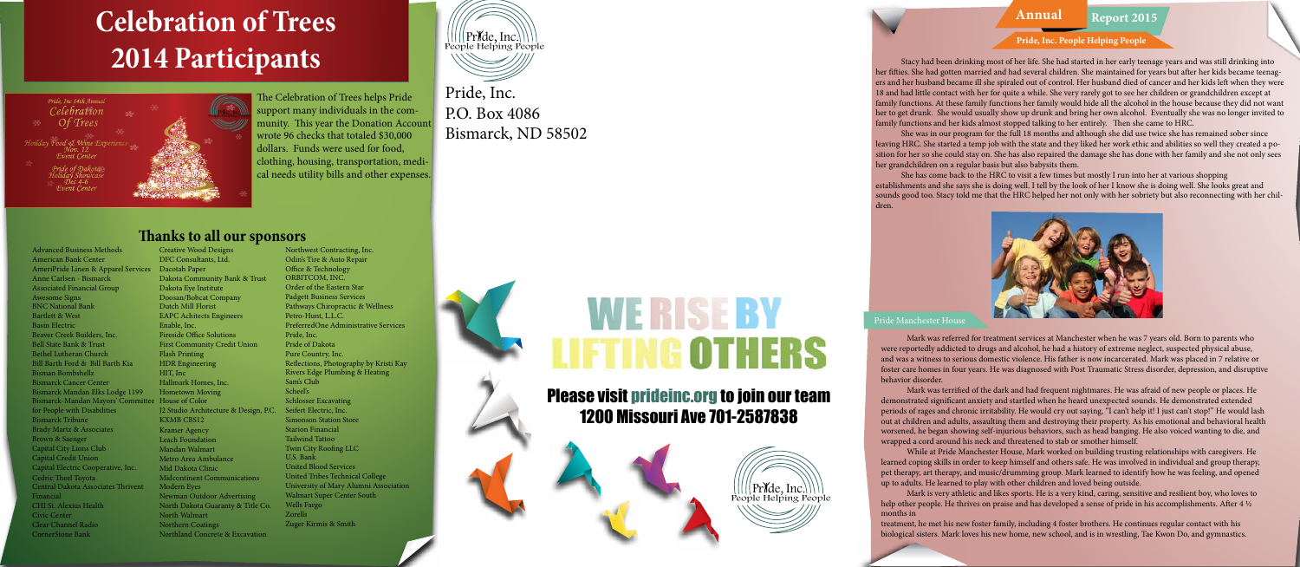### **Annual Report 2015**

Stacy had been drinking most of her life. She had started in her early teenage years and was still drinking into her fifties. She had gotten married and had several children. She maintained for years but after her kids became teenagers and her husband became ill she spiraled out of control. Her husband died of cancer and her kids left when they were 18 and had little contact with her for quite a while. She very rarely got to see her children or grandchildren except at family functions. At these family functions her family would hide all the alcohol in the house because they did not want her to get drunk. She would usually show up drunk and bring her own alcohol. Eventually she was no longer invited to family functions and her kids almost stopped talking to her entirely. Then she came to HRC.

She was in our program for the full 18 months and although she did use twice she has remained sober since leaving HRC. She started a temp job with the state and they liked her work ethic and abilities so well they created a position for her so she could stay on. She has also repaired the damage she has done with her family and she not only sees her grandchildren on a regular basis but also babysits them.

She has come back to the HRC to visit a few times but mostly I run into her at various shopping establishments and she says she is doing well. I tell by the look of her I know she is doing well. She looks great and sounds good too. Stacy told me that the HRC helped her not only with her sobriety but also reconnecting with her children.



#### Pride Manchester Hous

Mark was referred for treatment services at Manchester when he was 7 years old. Born to parents who were reportedly addicted to drugs and alcohol, he had a history of extreme neglect, suspected physical abuse, and was a witness to serious domestic violence. His father is now incarcerated. Mark was placed in 7 relative or foster care homes in four years. He was diagnosed with Post Traumatic Stress disorder, depression, and disruptive behavior disorder.

Mark was terrified of the dark and had frequent nightmares. He was afraid of new people or places. He demonstrated significant anxiety and startled when he heard unexpected sounds. He demonstrated extended periods of rages and chronic irritability. He would cry out saying, "I can't help it! I just can't stop!" He would lash out at children and adults, assaulting them and destroying their property. As his emotional and behavioral health worsened, he began showing self-injurious behaviors, such as head banging. He also voiced wanting to die, and wrapped a cord around his neck and threatened to stab or smother himself.

While at Pride Manchester House, Mark worked on building trusting relationships with caregivers. He learned coping skills in order to keep himself and others safe. He was involved in individual and group therapy, pet therapy, art therapy, and music/drumming group. Mark learned to identify how he was feeling, and opened up to adults. He learned to play with other children and loved being outside.

Mark is very athletic and likes sports. He is a very kind, caring, sensitive and resilient boy, who loves to help other people. He thrives on praise and has developed a sense of pride in his accomplishments. After 4 ½ months in

treatment, he met his new foster family, including 4 foster brothers. He continues regular contact with his biological sisters. Mark loves his new home, new school, and is in wrestling, Tae Kwon Do, and gymnastics.







Pride, Inc. P.O. Box 4086 Bismarck, ND 58502

## Please visit prideinc.org to join our team 1200 Missouri Ave 701-2587838

## **Celebration of Trees 2014 Participants**

The Celebration of Trees helps Pride support many individuals in the community. This year the Donation Account wrote 96 checks that totaled \$30,000 dollars. Funds were used for food, clothing, housing, transportation, medical needs utility bills and other expenses.

### **Thanks to all our sponsors**

#### Advanced Business Methods American Bank Center AmeriPride Linen & Apparel Services Dacotah Paper Anne Carlsen - Bismarck Associated Financial Group Awesome Signs BNC National Bank Bartlett & West Basin Electric Beaver Creek Builders, Inc. Bell State Bank & Trust Bethel Lutheran Church Bill Barth Ford & Bill Barth Kia Bisman Bombshellz Bismarck Cancer Center Bismarck Mandan Elks Lodge 1199 Hometown Moving Bismarck-Mandan Mayors' Committee House of Color for People with Disabilities Bismarck Tribune Brady Martz & Associates Brown & Saenger Capital City Lions Club Capital Credit Union Capital Electric Cooperative, Inc. Cedric Theel Toyota Central Dakota Associates Thrivent Financial CHI St. Alexius Health Civic Center Clear Channel Radio CornerStone Bank

Creative Wood Designs DFC Consultants, Ltd. Dakota Community Bank & Trust Dakota Eye Institute Doosan/Bobcat Company Dutch Mill Florist EAPC Achitects Engineers Enable, Inc. Fireside Office Solutions First Community Credit Union Flash Printing HDR Engineering HIT, Inc Hallmark Homes, Inc. J2 Studio Architecture & Design, P.C. Seifert Electric, Inc. KXMB CBS12 Kramer Agency Leach Foundation Mandan Walmart Metro Area Ambulance Mid Dakota Clinic Midcontinent Communications Modern Eyes Newman Outdoor Advertising North Dakota Guaranty & Title Co. North Walmart Northern Coatings Northland Concrete & Excavation

Northwest Contracting, Inc. Odin's Tire & Auto Repair Office & Technology ORBITCOM, INC. Order of the Eastern Star Padgett Business Services Pathways Chiropractic & Wellness Petro-Hunt, L.L.C. PreferredOne Administrative Services Pride, Inc. Pride of Dakota Pure Country, Inc. Reflections, Photography by Kristi Kay Rivers Edge Plumbing & Heating Sam's Club Scheel's Schlosser Excavating Simonson Station Store Starion Financial Tailwind Tattoo Twin City Roofing LLC U.S. Bank United Blood Services United Tribes Technical College University of Mary Alumni Association Walmart Super Center South Wells Fargo Zorells Zuger Kirmis & Smith



# WERISERY LIFTING OTHERS



#### **Pride, Inc. People Helping People**